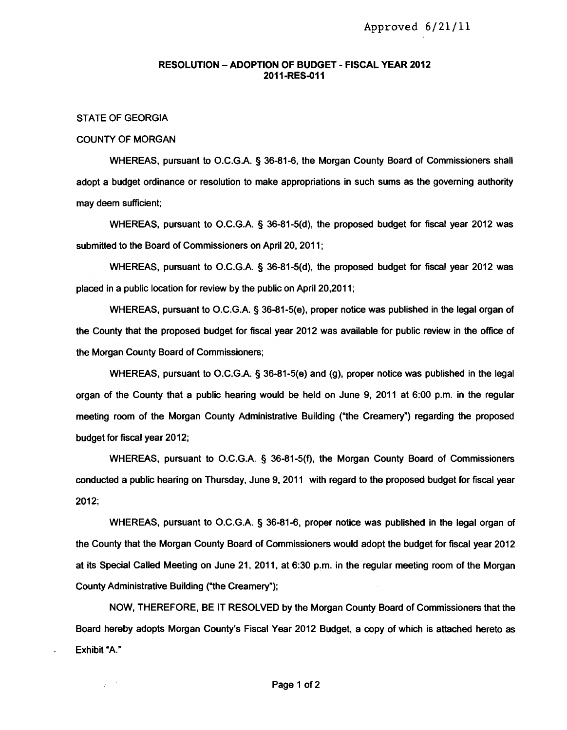## RESOLUTION - ADOPTION OF BUDGET - FISCAL YEAR 2012 2011-RES-011

## STATE OF GEORGIA

УÜ.

#### COUNTY OF MORGAN

WHEREAS, pursuant to O.C.G.A. § 36-81-6, the Morgan County Board of Commissioners shall adopt a budget ordinance or resolution to make appropriations in such sums as the governing authority may deem sufficient;

WHEREAS, pursuant to O.C.G.A. § 36-81-5(d), the proposed budget for fiscal year 2012 was submitted to the Board of Commissioners on April 20, 2011;

WHEREAS, pursuant to O.C.G.A. § 36-81-5(d), the proposed budget for fiscal year 2012 was placed in a public location for review by the public on April 20,2011;

WHEREAS, pursuant to O.C.G.A. § 36-81-5(e), proper notice was published in the legal organ of the County that the proposed budget for fiscal year 2012 was available for public review in the office of the Morgan County Board of Commissioners;

WHEREAS, pursuant to O.C.G.A. § 36-81-5(e) and (g), proper notice was published in the legal organ of the County that a public hearing would be held on June 9, 2011 at 6:00 p.m. in the regular meeting room of the Morgan County Administrative Building ("the Creamery") regarding the proposed budget for fiscal year 2012;

WHEREAS, pursuant to O.C.G.A. § 36-81-5(f), the Morgan County Board of Commissioners conducted a public hearing on Thursday, June 9, 2011 with regard to the proposed budget for fiscal year 2012;

WHEREAS, pursuant to O.C.G.A. § 36-81-6, proper notice was published in the legal organ of the County that the Morgan County Board of Commissioners would adopt the budget for fiscal year 2012 at its Special Called Meeting on June 21, 2011, at 6:30 p.m. in the regular meeting room of the Morgan County Administrative Building ("the Creamery");

NOW, THEREFORE, BE IT RESOLVED by the Morgan County Board of Commissioners that the Board hereby adopts Morgan County's Fiscal Year 2012 Budget, a copy of which is attached hereto as Exhibit "A."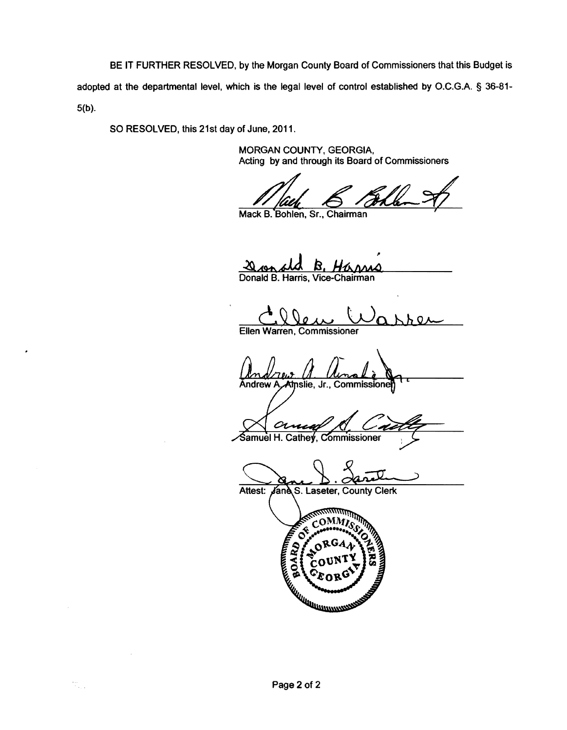BE **IT** FURTHER RESOLVED, by the Morgan County Board of Commissioners that this Budget is adopted at the departmental level, which is the legal level of control established by O.C.G.A. § 36-81 5(b).

SO RESOLVED, this 21st day of June, 2011.

MORGAN COUNTY, GEORGIA, Acting by and through its Board of Commissioners

Mack B. Bohlen, Sr., Chairman

**Q<sub>ron</sub><sub>6</sub>10 B. Harmo**<br>Donald B. Harris, Vice-Chairman -20 B.

Ω Ellen Warren, Commissioner

**Andrew A** Atnslie, Jr., Commissione

╱ Samuel H. Cathey, Commissioner

Attest: Jane S. Laseter, County Clerk מתחים אותו שיראים.<br>היי היא אין אין

 $_{\rm \tiny COMM}$ Ö **ECORD AND STRATEGISTS**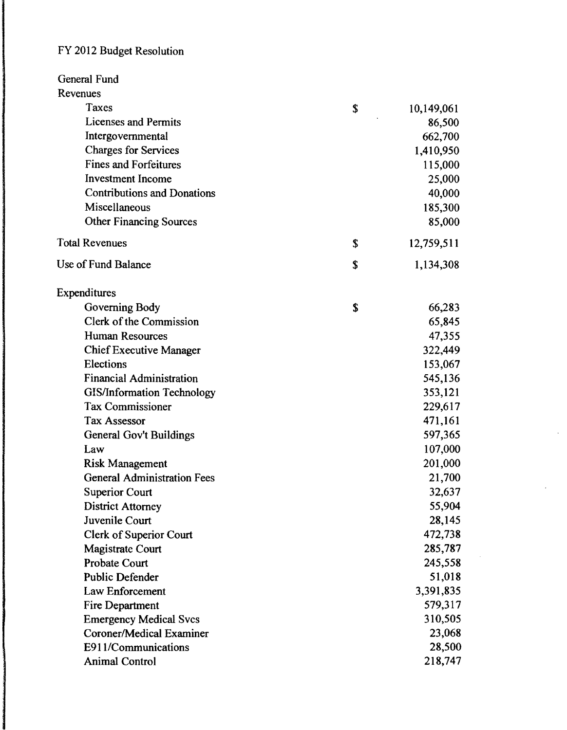# FY 2012 Budget Resolution

| General Fund                       |                  |
|------------------------------------|------------------|
| Revenues                           |                  |
| Taxes                              | \$<br>10,149,061 |
| Licenses and Permits               | 86,500           |
| Intergovernmental                  | 662,700          |
| <b>Charges for Services</b>        | 1,410,950        |
| <b>Fines and Forfeitures</b>       | 115,000          |
| <b>Investment Income</b>           | 25,000           |
| <b>Contributions and Donations</b> | 40,000           |
| Miscellaneous                      | 185,300          |
| <b>Other Financing Sources</b>     | 85,000           |
| <b>Total Revenues</b>              | \$<br>12,759,511 |
| Use of Fund Balance                | \$<br>1,134,308  |
| Expenditures                       |                  |
| Governing Body                     | \$<br>66,283     |
| Clerk of the Commission            | 65,845           |
| <b>Human Resources</b>             | 47,355           |
| <b>Chief Executive Manager</b>     | 322,449          |
| Elections                          | 153,067          |
| <b>Financial Administration</b>    | 545,136          |
| <b>GIS/Information Technology</b>  | 353,121          |
| <b>Tax Commissioner</b>            | 229,617          |
| <b>Tax Assessor</b>                | 471,161          |
| <b>General Gov't Buildings</b>     | 597,365          |
| Law                                | 107,000          |
| <b>Risk Management</b>             | 201,000          |
| <b>General Administration Fees</b> | 21,700           |
| <b>Superior Court</b>              | 32,637           |
| <b>District Attorney</b>           | 55,904           |
| Juvenile Court                     | 28,145           |
| Clerk of Superior Court            | 472,738          |
| <b>Magistrate Court</b>            | 285,787          |
| Probate Court                      | 245,558          |
| <b>Public Defender</b>             | 51,018           |
| Law Enforcement                    | 3,391,835        |
| <b>Fire Department</b>             | 579,317          |
| <b>Emergency Medical Svcs</b>      | 310,505          |
| Coroner/Medical Examiner           | 23,068           |
| E911/Communications                | 28,500           |
| <b>Animal Control</b>              | 218,747          |

 $\ddot{\phantom{a}}$ 

 $\mathcal{A}^{\mathcal{A}}$